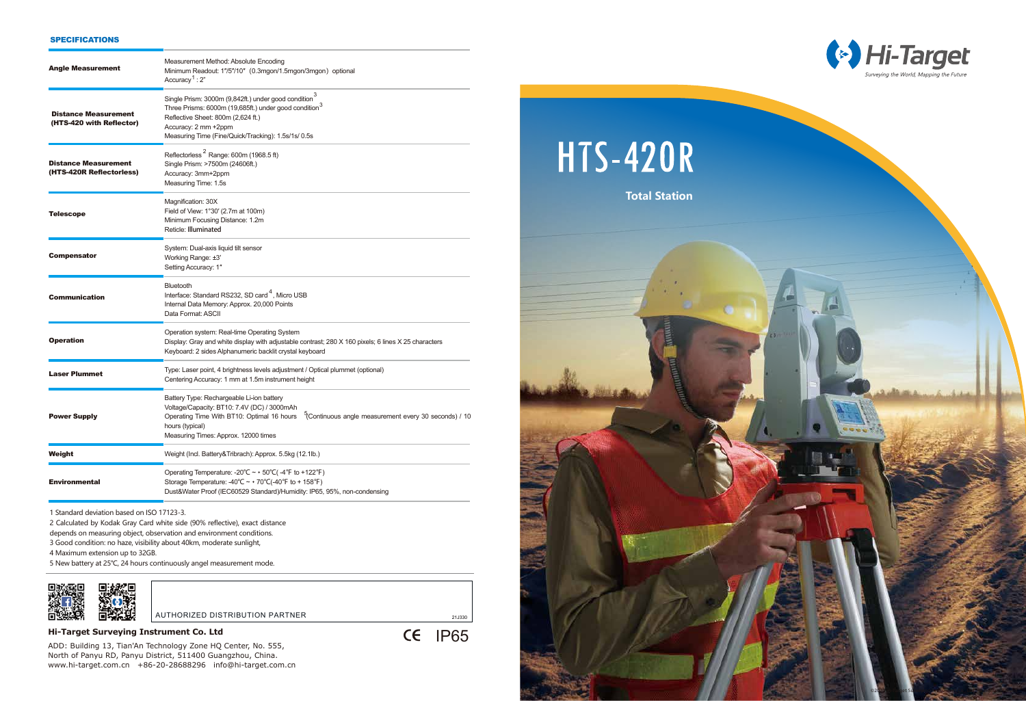©2020 Hi-Target Surveying Instrument Co., Ltd. All rights reserved.

| <b>Angle Measurement</b>                                | Measurement Method: Absolute Encoding<br>Minimum Readout: 1"/5"/10" (0.3mgon/1.5mgon/3mgon) optional<br>Accuracy <sup>1</sup> : $2"$                                                                                                                       |
|---------------------------------------------------------|------------------------------------------------------------------------------------------------------------------------------------------------------------------------------------------------------------------------------------------------------------|
| <b>Distance Measurement</b><br>(HTS-420 with Reflector) | Single Prism: 3000m (9,842ft.) under good condition <sup>3</sup><br>Three Prisms: 6000m (19,685ft.) under good condition <sup>3</sup><br>Reflective Sheet: 800m (2,624 ft.)<br>Accuracy: 2 mm +2ppm<br>Measuring Time (Fine/Quick/Tracking): 1.5s/1s/ 0.5s |
| <b>Distance Measurement</b><br>(HTS-420R Reflectorless) | Reflectorless <sup>2</sup> Range: 600m (1968.5 ft)<br>Single Prism: >7500m (24606ft.)<br>Accuracy: 3mm+2ppm<br>Measuring Time: 1.5s                                                                                                                        |
| Telescope                                               | Magnification: 30X<br>Field of View: 1°30' (2.7m at 100m)<br>Minimum Focusing Distance: 1.2m<br>Reticle: Illuminated                                                                                                                                       |
| <b>Compensator</b>                                      | System: Dual-axis liquid tilt sensor<br>Working Range: ±3'<br>Setting Accuracy: 1"                                                                                                                                                                         |
| <b>Communication</b>                                    | Bluetooth<br>Interface: Standard RS232, SD card <sup>4</sup> , Micro USB<br>Internal Data Memory: Approx. 20,000 Points<br>Data Format: ASCII                                                                                                              |
| <b>Operation</b>                                        | Operation system: Real-time Operating System<br>Display: Gray and white display with adjustable contrast; 280 X 160 pixels; 6 lines X 25 characters<br>Keyboard: 2 sides Alphanumeric backlit crystal keyboard                                             |
| <b>Laser Plummet</b>                                    | Type: Laser point, 4 brightness levels adjustment / Optical plummet (optional)<br>Centering Accuracy: 1 mm at 1.5m instrument height                                                                                                                       |
| <b>Power Supply</b>                                     | Battery Type: Rechargeable Li-ion battery<br>Voltage/Capacity: BT10: 7.4V (DC) / 3000mAh<br>Operating Time With BT10: Optimal 16 hours<br>Continuous angle measurement every 30 seconds) / 10<br>hours (typical)<br>Measuring Times: Approx. 12000 times   |
| Weight                                                  | Weight (Incl. Battery&Tribrach): Approx. 5.5kg (12.1lb.)                                                                                                                                                                                                   |
| <b>Environmental</b>                                    | Operating Temperature: -20°C $\sim$ + 50°C(-4°F to +122°F)<br>Storage Temperature: -40°C ~ + 70°C(-40°F to + 158°F)<br>Dust&Water Proof (IEC60529 Standard)/Humidity: IP65, 95%, non-condensing                                                            |
|                                                         |                                                                                                                                                                                                                                                            |

1 Standard deviation based on ISO 17123-3.

2 Calculated by Kodak Gray Card white side (90% reflective), exact distance

depends on measuring object, observation and environment conditions.

3 Good condition: no haze, visibility about 40km, moderate sunlight,

4 Maximum extension up to 32GB.

5 New battery at 25℃, 24 hours continuously angel measurement mode.



AUTHORIZED DISTRIBUTION PARTNER<br>21J330

**CE IP65** 

## SPECIFICATIONS

# **Hi-Target Surveying Instrument Co. Ltd**

ADD: Building 13, Tian'An Technology Zone HQ Center, No. 555, North of Panyu RD, Panyu District, 511400 Guangzhou, China. www.hi-target.com.cn +86-20-28688296 info@hi-target.com.cn **HTS-420R** 

 **Total Station**